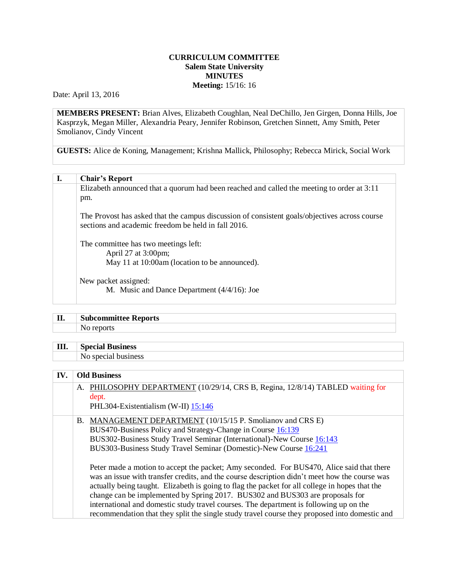## **CURRICULUM COMMITTEE Salem State University MINUTES Meeting:** 15/16: 16

Date: April 13, 2016

**MEMBERS PRESENT:** Brian Alves, Elizabeth Coughlan, Neal DeChillo, Jen Girgen, Donna Hills, Joe Kasprzyk, Megan Miller, Alexandria Peary, Jennifer Robinson, Gretchen Sinnett, Amy Smith, Peter Smolianov, Cindy Vincent

**GUESTS:** Alice de Koning, Management; Krishna Mallick, Philosophy; Rebecca Mirick, Social Work

## **I. Chair's Report**

Elizabeth announced that a quorum had been reached and called the meeting to order at 3:11 pm. The Provost has asked that the campus discussion of consistent goals/objectives across course sections and academic freedom be held in fall 2016. The committee has two meetings left: April 27 at 3:00pm; May 11 at 10:00am (location to be announced). New packet assigned: M. Music and Dance Department (4/4/16): Joe

| TT<br>щ. | <b>Subcommittee Reports</b> |
|----------|-----------------------------|
|          |                             |
|          |                             |

| III. | <b>Special</b><br>Business<br>сіаі в |
|------|--------------------------------------|
|      | iness                                |

## **IV. Old Business**

A. PHILOSOPHY DEPARTMENT (10/29/14, CRS B, Regina, 12/8/14) TABLED waiting for dept. PHL304-Existentialism (W-II) [15:146](http://www.salemstate.edu/6780.php?trackingNum=14:146&search=all) B. MANAGEMENT DEPARTMENT (10/15/15 P. Smolianov and CRS E) BUS470-Business Policy and Strategy-Change in Course [16:139](http://www.salemstate.edu/6780.php?trackingNum=16:139&search=all) BUS302-Business Study Travel Seminar (International)-New Course [16:143](http://www.salemstate.edu/6780.php?trackingNum=16:143&search=all) BUS303-Business Study Travel Seminar (Domestic)-New Course [16:241](http://www.salemstate.edu/6780.php?trackingNum=16:241&search=all) Peter made a motion to accept the packet; Amy seconded. For BUS470, Alice said that there

was an issue with transfer credits, and the course description didn't meet how the course was actually being taught. Elizabeth is going to flag the packet for all college in hopes that the change can be implemented by Spring 2017. BUS302 and BUS303 are proposals for international and domestic study travel courses. The department is following up on the recommendation that they split the single study travel course they proposed into domestic and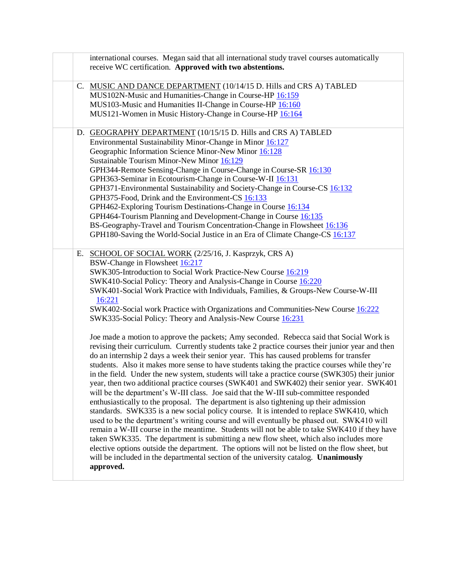| international courses. Megan said that all international study travel courses automatically<br>receive WC certification. Approved with two abstentions.                                                                                                                                                                                                                                                                                                                                                                                                                                                                                                                                                                                                                                                                                                                                                                                                                                                                                                                                                                                                                                                                                                                                                                                                                                                                                                                                                                                                                                                                                                                                                                                                                                                                                               |
|-------------------------------------------------------------------------------------------------------------------------------------------------------------------------------------------------------------------------------------------------------------------------------------------------------------------------------------------------------------------------------------------------------------------------------------------------------------------------------------------------------------------------------------------------------------------------------------------------------------------------------------------------------------------------------------------------------------------------------------------------------------------------------------------------------------------------------------------------------------------------------------------------------------------------------------------------------------------------------------------------------------------------------------------------------------------------------------------------------------------------------------------------------------------------------------------------------------------------------------------------------------------------------------------------------------------------------------------------------------------------------------------------------------------------------------------------------------------------------------------------------------------------------------------------------------------------------------------------------------------------------------------------------------------------------------------------------------------------------------------------------------------------------------------------------------------------------------------------------|
| C. MUSIC AND DANCE DEPARTMENT (10/14/15 D. Hills and CRS A) TABLED<br>MUS102N-Music and Humanities-Change in Course-HP 16:159<br>MUS103-Music and Humanities II-Change in Course-HP 16:160<br>MUS121-Women in Music History-Change in Course-HP 16:164                                                                                                                                                                                                                                                                                                                                                                                                                                                                                                                                                                                                                                                                                                                                                                                                                                                                                                                                                                                                                                                                                                                                                                                                                                                                                                                                                                                                                                                                                                                                                                                                |
| D. GEOGRAPHY DEPARTMENT (10/15/15 D. Hills and CRS A) TABLED<br>Environmental Sustainability Minor-Change in Minor 16:127<br>Geographic Information Science Minor-New Minor 16:128<br>Sustainable Tourism Minor-New Minor 16:129<br>GPH344-Remote Sensing-Change in Course-Change in Course-SR 16:130<br>GPH363-Seminar in Ecotourism-Change in Course-W-II 16:131<br>GPH371-Environmental Sustainability and Society-Change in Course-CS 16:132<br>GPH375-Food, Drink and the Environment-CS 16:133<br>GPH462-Exploring Tourism Destinations-Change in Course 16:134<br>GPH464-Tourism Planning and Development-Change in Course 16:135<br>BS-Geography-Travel and Tourism Concentration-Change in Flowsheet 16:136<br>GPH180-Saving the World-Social Justice in an Era of Climate Change-CS 16:137                                                                                                                                                                                                                                                                                                                                                                                                                                                                                                                                                                                                                                                                                                                                                                                                                                                                                                                                                                                                                                                  |
| E. SCHOOL OF SOCIAL WORK (2/25/16, J. Kasprzyk, CRS A)<br>BSW-Change in Flowsheet 16:217<br>SWK305-Introduction to Social Work Practice-New Course 16:219<br>SWK410-Social Policy: Theory and Analysis-Change in Course 16:220<br>SWK401-Social Work Practice with Individuals, Families, & Groups-New Course-W-III<br>16:221<br>SWK402-Social work Practice with Organizations and Communities-New Course 16:222<br>SWK335-Social Policy: Theory and Analysis-New Course 16:231<br>Joe made a motion to approve the packets; Amy seconded. Rebecca said that Social Work is<br>revising their curriculum. Currently students take 2 practice courses their junior year and then<br>do an internship 2 days a week their senior year. This has caused problems for transfer<br>students. Also it makes more sense to have students taking the practice courses while they're<br>in the field. Under the new system, students will take a practice course (SWK305) their junior<br>year, then two additional practice courses (SWK401 and SWK402) their senior year. SWK401<br>will be the department's W-III class. Joe said that the W-III sub-committee responded<br>enthusiastically to the proposal. The department is also tightening up their admission<br>standards. SWK335 is a new social policy course. It is intended to replace SWK410, which<br>used to be the department's writing course and will eventually be phased out. SWK410 will<br>remain a W-III course in the meantime. Students will not be able to take SWK410 if they have<br>taken SWK335. The department is submitting a new flow sheet, which also includes more<br>elective options outside the department. The options will not be listed on the flow sheet, but<br>will be included in the departmental section of the university catalog. Unanimously<br>approved. |